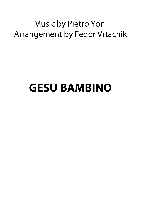## Music by Pietro Yon Arrangement by Fedor Vrtacnik

## **GESU BAMBINO**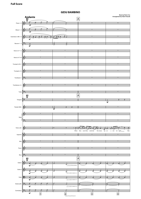## **Music by Pietro Yon Arrangement by Fedor Vrtacnik** Andante<br>12<br>8  $\overrightarrow{a}$ ŕ Flutes 1-2  $\left\langle \cdot \right\rangle$  for form  $\left\vert \cdot \right\rangle$  ,  $\left\vert \cdot \right\rangle$  ,  $\left\vert \cdot \right\rangle$  ,  $\left\vert \cdot \right\rangle$  ,  $\left\vert \cdot \right\rangle$  ,  $\left\vert \cdot \right\rangle$  ,  $\left\vert \cdot \right\rangle$  ,  $\left\vert \cdot \right\rangle$  ,  $\left\vert \cdot \right\rangle$  ,  $\left\vert \cdot \right\rangle$  ,  $\left\vert \cdot \right\rangle$  ,  $\left\vert \cdot \right\rangle$  ,  $\left\vert \cdot \right\rangle$  ,  $\left\$ mf  $\overline{\phantom{a}}$ Oboes 1- 2  $\langle \cdot \rangle$  for form  $\vert \cdot \vert$  in the set of  $\vert \cdot \vert$  is the set of  $\vert \cdot \vert$  is the set of  $\vert \cdot \vert$ mf į よっ  $\mathfrak s$  .  $\mathfrak s$  $\mathfrak s$  .  $\mathfrak s$  $\overrightarrow{p}$ لمستوقع أخ Clarinetes in Bb 1-2  $\frac{1}{2}$ mf  $\mathcal{P}_\flat$  or the set of the set of the set of the set of the set of the set of the set of the set of the set of the set of the set of the set of the set of the set of the set of the set of the set of the set of the set o  $\frac{1}{\sigma}$  $\frac{1}{3}$  $\frac{1}{\delta}$  $\frac{1}{s}$  $\frac{1}{\delta}$  $\overline{\phantom{a}}$ Bassons 1-2  $\frac{1}{2}$ mf  $\overline{ }$ Horns in F 1-2  $\langle \cdot \rangle$  and the contract of the contract of the contract of the contract of the contract of the contract of the contract of the contract of the contract of the contract of the contract of the contract of the contract of  $\langle \cdot \rangle$ Horns in F 3-4 Trumpet in B<sub>b</sub> 1  $\langle \cdot \rangle$ Trumpets 2-3  $\langle \cdot \rangle$  and the contract of the contract of the contract of the contract of the contract of the contract of the contract of the contract of the contract of the contract of the contract of the contract of the contract of  $\mathcal{P}_\flat$  . The contract of the contract of the contract of the contract of the contract of the contract of the contract of the contract of the contract of the contract of the contract of the contract of the contract of Trombone 1 <u>э.</u>  $\langle \cdot \rangle$  and the contract of the contract of the contract of the contract of the contract of the contract of the contract of the contract of the contract of the contract of the contract of the contract of the contract of Trombones 2-3 ŕ  $\mathcal{P}_{\flat}$  . The contract of the contract of the contract of the contract of the contract of the contract of the contract of the contract of the contract of the contract of the contract of the contract of the contract of Tuba Ľ  $\frac{12}{8}$ A ŕ  $\frac{1}{2}$  ) and the contract of the contract of the contract of the contract of the contract of the contract of the contract of the contract of the contract of the contract of the contract of the contract of the contract  $\frac{1}{2}$ Timpani Ľ mf  $\frac{1}{2}$   $\frac{1}{2}$   $\frac{1}{2}$ Tubular Bells  $\langle \hspace{-0.2cm} \langle \hspace{-0.2cm} \cdot \hspace{-0.2cm} \rangle$  , and the contract of  $\langle \hspace{-0.2cm} \cdot \hspace{-0.2cm} \cdot \hspace{-0.2cm} \rangle$  ,  $\langle \hspace{-0.2cm} \cdot \hspace{-0.2cm} \cdot \hspace{-0.2cm} \cdot \hspace{-0.2cm} \cdot \hspace{-0.2cm} \cdot \hspace{-0.2cm} \cdot \hspace{-0.2cm} \cdot \hspace{-0.2cm} \cdot \hspace{-0.2cm} \cdot \hspace{-0.2cm} \cdot \hspace{-0.2cm$ mf  $\langle \cdot \rangle$ Harp  $\left\langle \left[ \left[ \left[ \left[ \left[ 1\right] \right] \right] \right] \right\rangle \right\rangle$  $\mathcal{P}_\flat$  . The contract of the contract of the contract of the contract of the contract of the contract of the contract of the contract of the contract of the contract of the contract of the contract of the contract of  $\overrightarrow{y}$   $\overrightarrow{y}$   $\overrightarrow{y}$   $\overrightarrow{y}$   $\overrightarrow{y}$ ग्रेज़, ज  $\overset{\circ}{\diamond}$  - $7.5$ Voice solo  $\overline{5}$ When blos - soms flow - ered mid the snows  $\overline{U}$ p - on - a win - ter night Was ŕ  $\langle \cdot \rangle$ Soprano  $\overline{\phantom{a}}$ Alto  $\langle \cdot \rangle$ Tenor 6 ţ  $\mathcal{P}_\flat$  . The contract of the contract of the contract of the contract of the contract of the contract of the contract of the contract of the contract of the contract of the contract of the contract of the contract of Ð. Bass  $\frac{12}{8}$ A ŕ 6, Violin I mf Violin II 6 <del>्रकार के लिए स्टा</del>र्ट के साथ स्टाइट के साथ स्टाइट के साथ स्टाइट के साथ स्टाइट के साथ स्टाइट के साथ स्टाइट के सा<br>इन्हें से साथ स्टाइट के बार स्टाइट के बार स्टाइट के बार स्टाइट के बार स्टाइट के बार स्टाइट के बार स्टाइट के mf Viola 瑕 <u>estas de la contrada de la contrada de la contrada de la contrada de la contrada de la contrada de la contrada</u> mf  $\sim$   $\sim$  $\frac{1}{2}$  $\overline{\phantom{a}}$ : Violoncello  $\mathbf{\mathcal{P}}$ È É È ₽ mf Contrabass  $\left[\begin{array}{ccc} \bullet & \bullet \\ \bullet & \bullet \end{array}\right]$

mf **1 2 3 4**

**GESU BAMBINO**